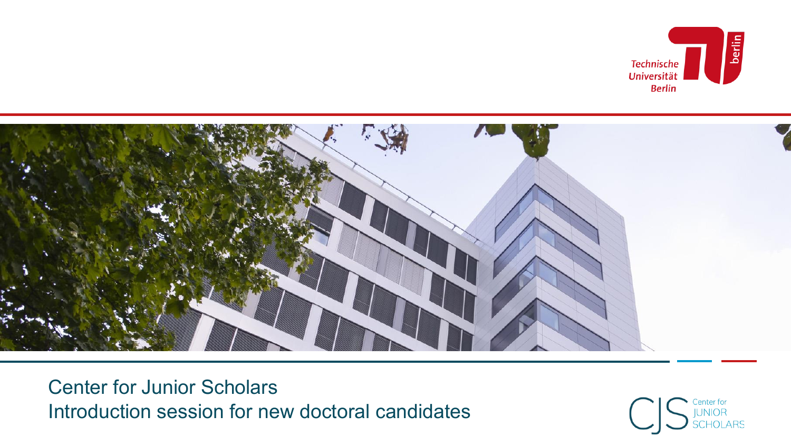



Center for Junior Scholars Introduction session for new doctoral candidates

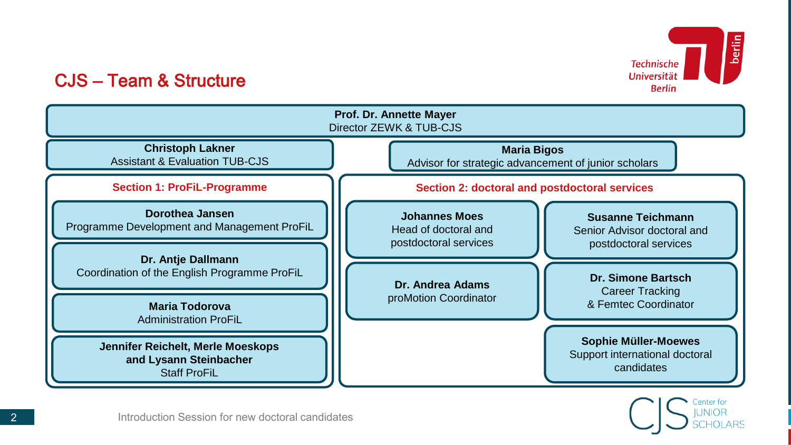

## CJS – Team & Structure



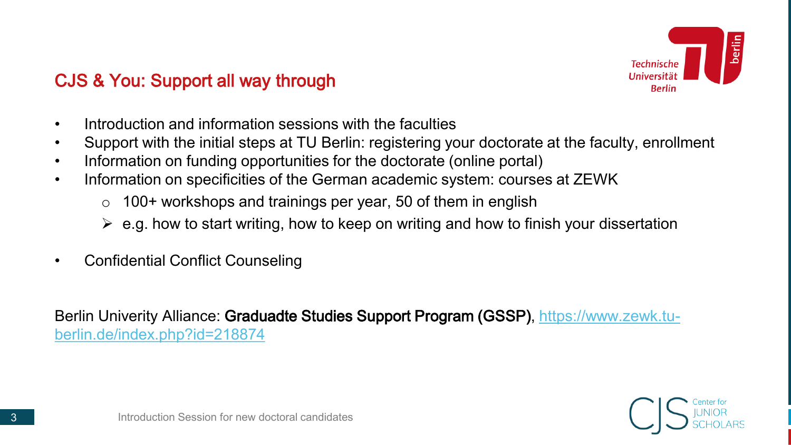

# CJS & You: Support all way through

- Introduction and information sessions with the faculties
- Support with the initial steps at TU Berlin: registering your doctorate at the faculty, enrollment
- Information on funding opportunities for the doctorate (online portal)
- Information on specificities of the German academic system: courses at ZEWK
	- $\circ$  100+ workshops and trainings per year, 50 of them in english
	- $\triangleright$  e.g. how to start writing, how to keep on writing and how to finish your dissertation
- Confidential Conflict Counseling

Berlin Univerity Alliance: Graduadte Studies Support Program (GSSP), https://www.zewk.tu[berlin.de/index.php?id=218874](https://www.zewk.tu-berlin.de/index.php?id=218874)

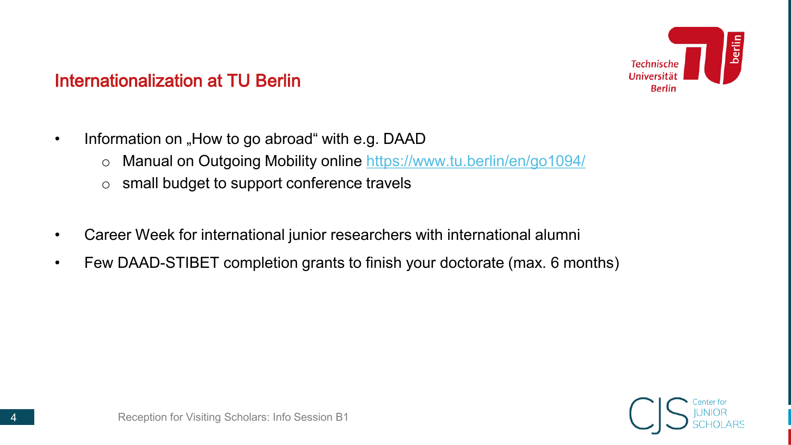

## Internationalization at TU Berlin

- Information on "How to go abroad" with e.g. DAAD
	- o Manual on Outgoing Mobility online<https://www.tu.berlin/en/go1094/>
	- o small budget to support conference travels
- Career Week for international junior researchers with international alumni
- Few DAAD-STIBET completion grants to finish your doctorate (max. 6 months)

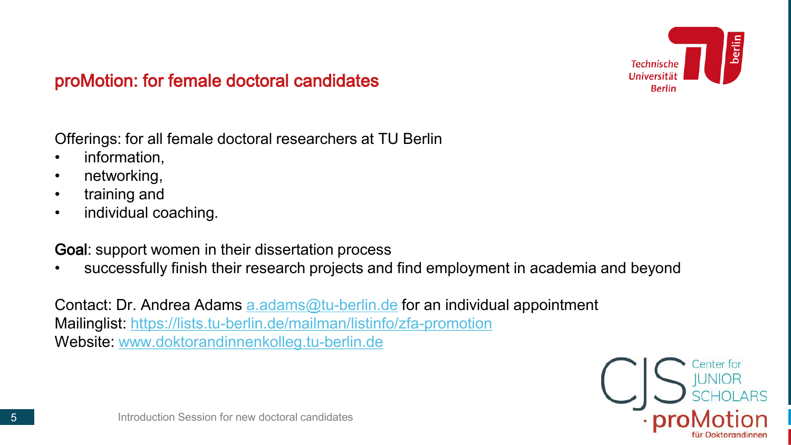

## proMotion: for female doctoral candidates

Offerings: for all female doctoral researchers at TU Berlin

- information,
- networking,
- training and
- individual coaching.

Goal: support women in their dissertation process

• successfully finish their research projects and find employment in academia and beyond

Contact: Dr. Andrea Adams [a.adams@tu-berlin.de](mailto:a.adams@tu-berlin.de) for an individual appointment Mailinglist:<https://lists.tu-berlin.de/mailman/listinfo/zfa-promotion> Website: [www.doktorandinnenkolleg.tu-berlin.de](http://www.doktorandinnenkolleg.tu-berlin.de/)